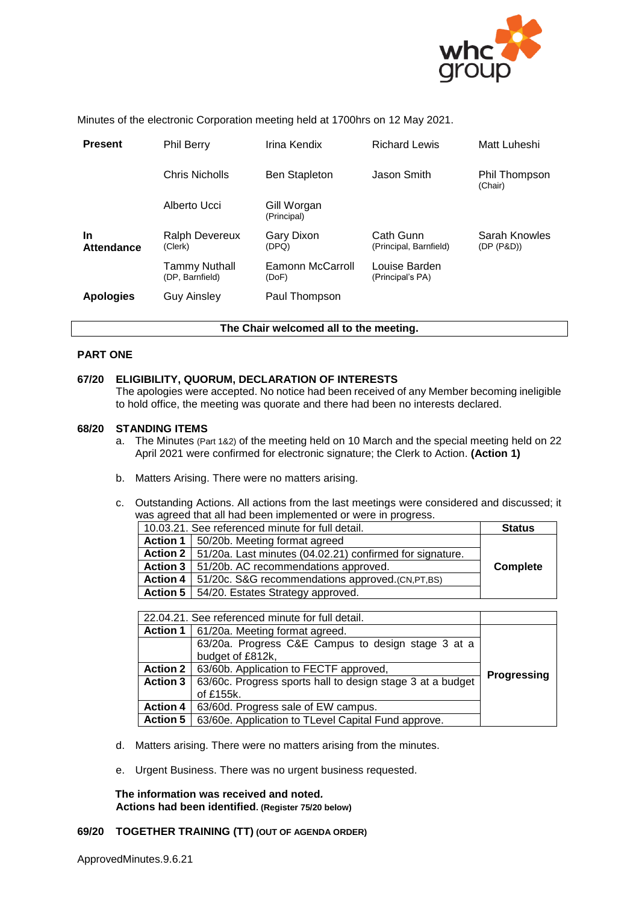

Minutes of the electronic Corporation meeting held at 1700hrs on 12 May 2021.

| <b>Present</b>          | <b>Phil Berry</b>                       | Irina Kendix               | <b>Richard Lewis</b>                | Matt Luheshi                |
|-------------------------|-----------------------------------------|----------------------------|-------------------------------------|-----------------------------|
|                         | Chris Nicholls                          | <b>Ben Stapleton</b>       | Jason Smith                         | Phil Thompson<br>(Chair)    |
|                         | Alberto Ucci                            | Gill Worgan<br>(Principal) |                                     |                             |
| <b>In</b><br>Attendance | Ralph Devereux<br>(Clerk)               | Gary Dixon<br>(DPQ)        | Cath Gunn<br>(Principal, Barnfield) | Sarah Knowles<br>(DP (P&D)) |
|                         | <b>Tammy Nuthall</b><br>(DP, Barnfield) | Eamonn McCarroll<br>(DoF)  | Louise Barden<br>(Principal's PA)   |                             |
| <b>Apologies</b>        | <b>Guy Ainsley</b>                      | Paul Thompson              |                                     |                             |

#### **The Chair welcomed all to the meeting.**

#### **PART ONE**

#### **67/20 ELIGIBILITY, QUORUM, DECLARATION OF INTERESTS**

The apologies were accepted. No notice had been received of any Member becoming ineligible to hold office, the meeting was quorate and there had been no interests declared.

#### **68/20 STANDING ITEMS**

- a. The Minutes (Part 1&2) of the meeting held on 10 March and the special meeting held on 22 April 2021 were confirmed for electronic signature; the Clerk to Action. **(Action 1)**
- b. Matters Arising. There were no matters arising.
- c. Outstanding Actions. All actions from the last meetings were considered and discussed; it was agreed that all had been implemented or were in progress.

| 10.03.21. See referenced minute for full detail. |                                                                     | <b>Status</b> |
|--------------------------------------------------|---------------------------------------------------------------------|---------------|
|                                                  | Action 1   50/20b. Meeting format agreed                            |               |
|                                                  | Action 2   51/20a. Last minutes (04.02.21) confirmed for signature. |               |
|                                                  | Action 3   51/20b. AC recommendations approved.                     | Complete      |
|                                                  | Action 4   51/20c. S&G recommendations approved. (CN, PT, BS)       |               |
|                                                  | Action 5   54/20. Estates Strategy approved.                        |               |

| 22.04.21. See referenced minute for full detail. |                                                            |                    |
|--------------------------------------------------|------------------------------------------------------------|--------------------|
| <b>Action 1</b>                                  | 61/20a. Meeting format agreed.                             |                    |
|                                                  | 63/20a. Progress C&E Campus to design stage 3 at a         |                    |
|                                                  | budget of £812k,                                           |                    |
| <b>Action 2</b>                                  | 63/60b. Application to FECTF approved,                     |                    |
| <b>Action 3</b>                                  | 63/60c. Progress sports hall to design stage 3 at a budget | <b>Progressing</b> |
|                                                  | of £155k.                                                  |                    |
| <b>Action 4</b>                                  | 63/60d. Progress sale of EW campus.                        |                    |
| <b>Action 5</b>                                  | 63/60e. Application to TLevel Capital Fund approve.        |                    |

- d. Matters arising. There were no matters arising from the minutes.
- e. Urgent Business. There was no urgent business requested.

**The information was received and noted***.* **Actions had been identified. (Register 75/20 below)**

## **69/20 TOGETHER TRAINING (TT) (OUT OF AGENDA ORDER)**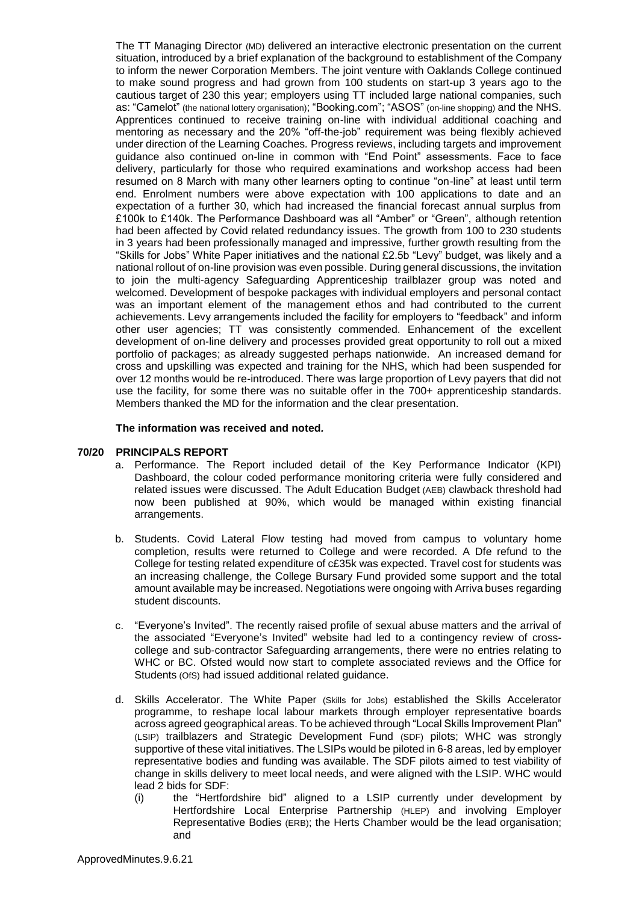The TT Managing Director (MD) delivered an interactive electronic presentation on the current situation, introduced by a brief explanation of the background to establishment of the Company to inform the newer Corporation Members. The joint venture with Oaklands College continued to make sound progress and had grown from 100 students on start-up 3 years ago to the cautious target of 230 this year; employers using TT included large national companies, such as: "Camelot" (the national lottery organisation); "Booking.com"; "ASOS" (on-line shopping) and the NHS. Apprentices continued to receive training on-line with individual additional coaching and mentoring as necessary and the 20% "off-the-job" requirement was being flexibly achieved under direction of the Learning Coaches*.* Progress reviews, including targets and improvement guidance also continued on-line in common with "End Point" assessments. Face to face delivery, particularly for those who required examinations and workshop access had been resumed on 8 March with many other learners opting to continue "on-line" at least until term end. Enrolment numbers were above expectation with 100 applications to date and an expectation of a further 30, which had increased the financial forecast annual surplus from £100k to £140k. The Performance Dashboard was all "Amber" or "Green", although retention had been affected by Covid related redundancy issues. The growth from 100 to 230 students in 3 years had been professionally managed and impressive, further growth resulting from the "Skills for Jobs" White Paper initiatives and the national £2.5b "Levy" budget, was likely and a national rollout of on-line provision was even possible. During general discussions, the invitation to join the multi-agency Safeguarding Apprenticeship trailblazer group was noted and welcomed. Development of bespoke packages with individual employers and personal contact was an important element of the management ethos and had contributed to the current achievements. Levy arrangements included the facility for employers to "feedback" and inform other user agencies; TT was consistently commended. Enhancement of the excellent development of on-line delivery and processes provided great opportunity to roll out a mixed portfolio of packages; as already suggested perhaps nationwide. An increased demand for cross and upskilling was expected and training for the NHS, which had been suspended for over 12 months would be re-introduced. There was large proportion of Levy payers that did not use the facility, for some there was no suitable offer in the 700+ apprenticeship standards. Members thanked the MD for the information and the clear presentation.

#### **The information was received and noted***.*

#### **70/20 PRINCIPALS REPORT**

- a. Performance. The Report included detail of the Key Performance Indicator (KPI) Dashboard, the colour coded performance monitoring criteria were fully considered and related issues were discussed. The Adult Education Budget (AEB) clawback threshold had now been published at 90%, which would be managed within existing financial arrangements.
- b. Students. Covid Lateral Flow testing had moved from campus to voluntary home completion, results were returned to College and were recorded. A Dfe refund to the College for testing related expenditure of c£35k was expected. Travel cost for students was an increasing challenge, the College Bursary Fund provided some support and the total amount available may be increased. Negotiations were ongoing with Arriva buses regarding student discounts.
- c. "Everyone's Invited". The recently raised profile of sexual abuse matters and the arrival of the associated "Everyone's Invited" website had led to a contingency review of crosscollege and sub-contractor Safeguarding arrangements, there were no entries relating to WHC or BC. Ofsted would now start to complete associated reviews and the Office for Students (OfS) had issued additional related guidance.
- d. Skills Accelerator. The White Paper (Skills for Jobs) established the Skills Accelerator programme, to reshape local labour markets through employer representative boards across agreed geographical areas. To be achieved through "Local Skills Improvement Plan" (LSIP) trailblazers and Strategic Development Fund (SDF) pilots; WHC was strongly supportive of these vital initiatives. The LSIPs would be piloted in 6-8 areas, led by employer representative bodies and funding was available. The SDF pilots aimed to test viability of change in skills delivery to meet local needs, and were aligned with the LSIP. WHC would lead 2 bids for SDF:
	- (i) the "Hertfordshire bid" aligned to a LSIP currently under development by Hertfordshire Local Enterprise Partnership (HLEP) and involving Employer Representative Bodies (ERB); the Herts Chamber would be the lead organisation; and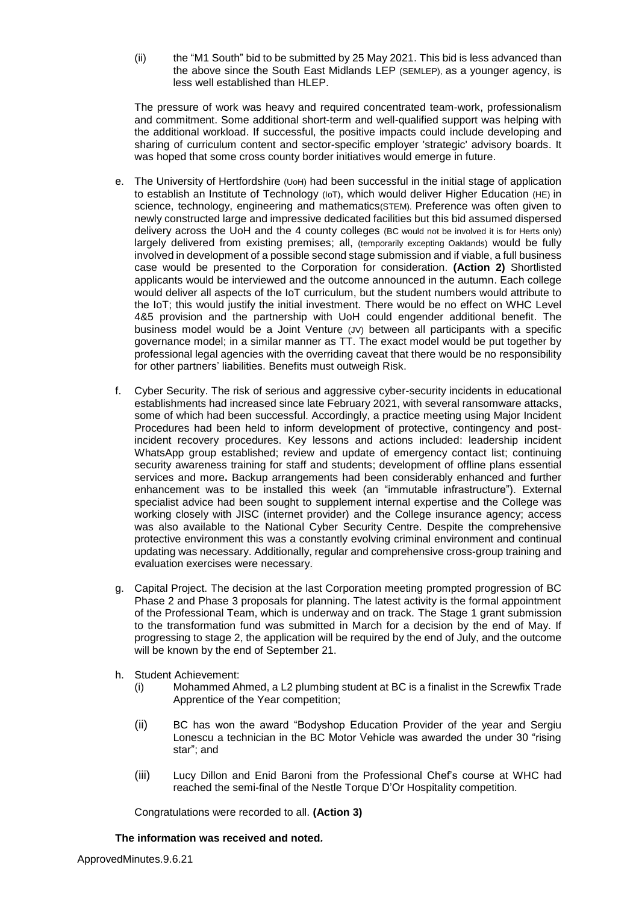(ii) the "M1 South" bid to be submitted by 25 May 2021. This bid is less advanced than the above since the South East Midlands LEP (SEMLEP), as a younger agency, is less well established than HLEP.

The pressure of work was heavy and required concentrated team-work, professionalism and commitment. Some additional short-term and well-qualified support was helping with the additional workload. If successful, the positive impacts could include developing and sharing of curriculum content and sector-specific employer 'strategic' advisory boards. It was hoped that some cross county border initiatives would emerge in future.

- e. The University of Hertfordshire (UoH) had been successful in the initial stage of application to establish an Institute of Technology (IoT), which would deliver Higher Education (HE) in science, technology, engineering and mathematics(STEM). Preference was often given to newly constructed large and impressive dedicated facilities but this bid assumed dispersed delivery across the UoH and the 4 county colleges (BC would not be involved it is for Herts only) largely delivered from existing premises; all, (temporarily excepting Oaklands) would be fully involved in development of a possible second stage submission and if viable, a full business case would be presented to the Corporation for consideration. **(Action 2)** Shortlisted applicants would be interviewed and the outcome announced in the autumn. Each college would deliver all aspects of the IoT curriculum, but the student numbers would attribute to the IoT; this would justify the initial investment. There would be no effect on WHC Level 4&5 provision and the partnership with UoH could engender additional benefit. The business model would be a Joint Venture (JV) between all participants with a specific governance model; in a similar manner as TT. The exact model would be put together by professional legal agencies with the overriding caveat that there would be no responsibility for other partners' liabilities. Benefits must outweigh Risk.
- f. Cyber Security. The risk of serious and aggressive cyber-security incidents in educational establishments had increased since late February 2021, with several ransomware attacks, some of which had been successful. Accordingly, a practice meeting using Major Incident Procedures had been held to inform development of protective, contingency and postincident recovery procedures. Key lessons and actions included: leadership incident WhatsApp group established; review and update of emergency contact list; continuing security awareness training for staff and students; development of offline plans essential services and more**.** Backup arrangements had been considerably enhanced and further enhancement was to be installed this week (an "immutable infrastructure"). External specialist advice had been sought to supplement internal expertise and the College was working closely with JISC (internet provider) and the College insurance agency; access was also available to the National Cyber Security Centre. Despite the comprehensive protective environment this was a constantly evolving criminal environment and continual updating was necessary. Additionally, regular and comprehensive cross-group training and evaluation exercises were necessary.
- g. Capital Project. The decision at the last Corporation meeting prompted progression of BC Phase 2 and Phase 3 proposals for planning. The latest activity is the formal appointment of the Professional Team, which is underway and on track. The Stage 1 grant submission to the transformation fund was submitted in March for a decision by the end of May. If progressing to stage 2, the application will be required by the end of July, and the outcome will be known by the end of September 21.
- h. Student Achievement:
	- (i) Mohammed Ahmed, a L2 plumbing student at BC is a finalist in the Screwfix Trade Apprentice of the Year competition;
	- (ii) BC has won the award "Bodyshop Education Provider of the year and Sergiu Lonescu a technician in the BC Motor Vehicle was awarded the under 30 "rising star"; and
	- (iii) Lucy Dillon and Enid Baroni from the Professional Chef's course at WHC had reached the semi-final of the Nestle Torque D'Or Hospitality competition.

Congratulations were recorded to all. **(Action 3)**

## **The information was received and noted***.*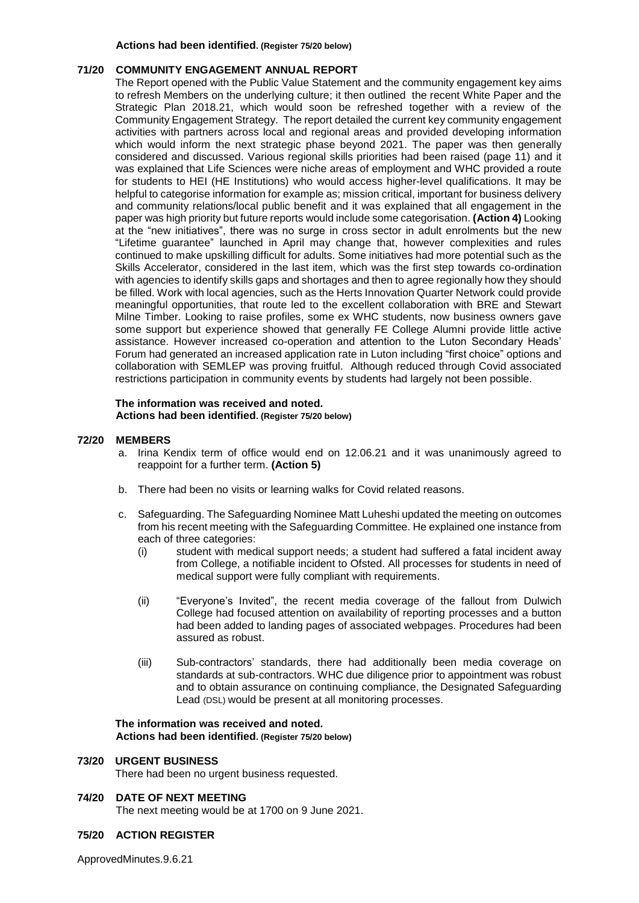#### **Actions had been identified. (Register 75/20 below)**

#### **71/20 COMMUNITY ENGAGEMENT ANNUAL REPORT**

The Report opened with the Public Value Statement and the community engagement key aims to refresh Members on the underlying culture; it then outlined the recent White Paper and the Strategic Plan 2018.21, which would soon be refreshed together with a review of the Community Engagement Strategy. The report detailed the current key community engagement activities with partners across local and regional areas and provided developing information which would inform the next strategic phase beyond 2021. The paper was then generally considered and discussed. Various regional skills priorities had been raised (page 11) and it was explained that Life Sciences were niche areas of employment and WHC provided a route for students to HEI (HE Institutions) who would access higher-level qualifications. It may be helpful to categorise information for example as; mission critical, important for business delivery and community relations/local public benefit and it was explained that all engagement in the paper was high priority but future reports would include some categorisation. **(Action 4)** Looking at the "new initiatives", there was no surge in cross sector in adult enrolments but the new "Lifetime guarantee" launched in April may change that, however complexities and rules continued to make upskilling difficult for adults. Some initiatives had more potential such as the Skills Accelerator, considered in the last item, which was the first step towards co-ordination with agencies to identify skills gaps and shortages and then to agree regionally how they should be filled. Work with local agencies, such as the Herts Innovation Quarter Network could provide meaningful opportunities, that route led to the excellent collaboration with BRE and Stewart Milne Timber. Looking to raise profiles, some ex WHC students, now business owners gave some support but experience showed that generally FE College Alumni provide little active assistance. However increased co-operation and attention to the Luton Secondary Heads' Forum had generated an increased application rate in Luton including "first choice" options and collaboration with SEMLEP was proving fruitful. Although reduced through Covid associated restrictions participation in community events by students had largely not been possible.

#### **The information was received and noted***.* **Actions had been identified. (Register 75/20 below)**

#### **72/20 MEMBERS**

- a. Irina Kendix term of office would end on 12.06.21 and it was unanimously agreed to reappoint for a further term. **(Action 5)**
- b. There had been no visits or learning walks for Covid related reasons.
- c. Safeguarding. The Safeguarding Nominee Matt Luheshi updated the meeting on outcomes from his recent meeting with the Safeguarding Committee. He explained one instance from each of three categories:
	- (i) student with medical support needs; a student had suffered a fatal incident away from College, a notifiable incident to Ofsted. All processes for students in need of medical support were fully compliant with requirements.
	- (ii) "Everyone's Invited", the recent media coverage of the fallout from Dulwich College had focused attention on availability of reporting processes and a button had been added to landing pages of associated webpages. Procedures had been assured as robust.
	- (iii) Sub-contractors' standards, there had additionally been media coverage on standards at sub-contractors. WHC due diligence prior to appointment was robust and to obtain assurance on continuing compliance, the Designated Safeguarding Lead (DSL) would be present at all monitoring processes.

#### **The information was received and noted***.* **Actions had been identified. (Register 75/20 below)**

#### **73/20 URGENT BUSINESS**

There had been no urgent business requested.

#### **74/20 DATE OF NEXT MEETING**

The next meeting would be at 1700 on 9 June 2021.

#### **75/20 ACTION REGISTER**

ApprovedMinutes.9.6.21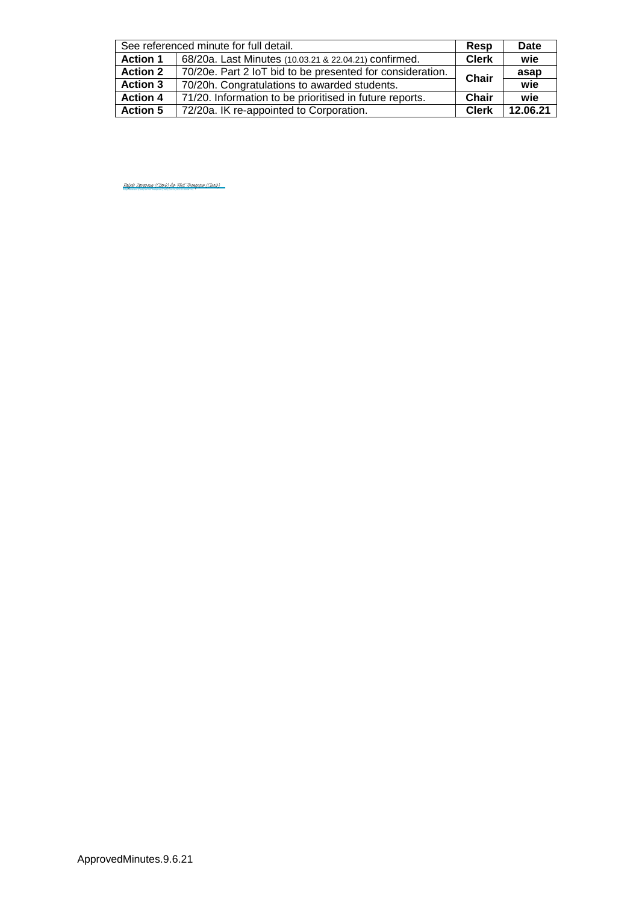| See referenced minute for full detail. |                                                           | Resp         | Date     |
|----------------------------------------|-----------------------------------------------------------|--------------|----------|
| <b>Action 1</b>                        | 68/20a. Last Minutes (10.03.21 & 22.04.21) confirmed.     | <b>Clerk</b> | wie      |
| <b>Action 2</b>                        | 70/20e. Part 2 IoT bid to be presented for consideration. | Chair        | asap     |
| <b>Action 3</b>                        | 70/20h. Congratulations to awarded students.              |              | wie      |
| <b>Action 4</b>                        | 71/20. Information to be prioritised in future reports.   | Chair        | wie      |
| <b>Action 5</b>                        | 72/20a. IK re-appointed to Corporation.                   | <b>Clerk</b> | 12.06.21 |

<u>[Ralph Devereux \(Clerk\) for Phil Thompson \(Chair\)](https://eu1.documents.adobe.com/verifier?tx=CBJCHBCAABAAymcl8KZD9ujdzgc0WBeY5MxJEmRBHZEM)</u>